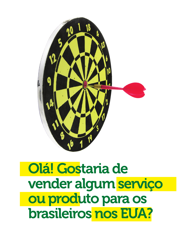

# Olá! Gostaria de vender algum serviço ou produto para os brasileiros nos EUA?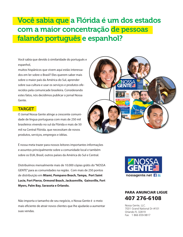## Você sabia que a Flórida é um dos estados com a maior concentração de pessoas falando português e espanhol?

Você sabia que devido à similaridade do português e espanhol,

muitos hispânicos que vivem aqui estão interessados em ler sobre o Brasil? Eles querem saber mais sobre o maior país da América do Sul, aprender sobre sua cultura e usar os serviços e produtos oferecidos pela comunicade brasileira. Considerando estes fatos, nós decidimos publicar o jornal Nossa Gente.

### **TARGET**

O Jornal Nossa Gente atinge a crescente comunidade de lingua portuguesa com mais de 250 mil brasileiros vivendo no sul da Flórida e mais de 50 mil na Central Flórida. que necessitam de novos produtos, serviços, empregos e idéias.

É nossa meta trazer para nossos leitores importantes informações e assuntos principalmente sobre a comunidade local e também sobre os EUA, Brasil, outros países da América do Sul e Central.

Distribuímos mensalmente mais de 10.000 cópias grátis do "NOSSA GENTE" para as comunidades na região. Com mais de 250 pontos de distribuição em **Miami, Pompano Beach, Tampa, Port Saint Lucie, Fort Pierce, Ormond Beach, Jacksonville, Gainsville, Fort Myers, Palm Bay, Sarasota e Orlando.**

Não importa o tamanho de seu negócio, o Nossa Gente é o meio mais eficiente de atrair novos clientes que lhe ajudarão a aumentar suas vendas.





### PARA ANUNCIAR LIGUE 407 276-6108

Nossa Gente, LLC. 7031 Grand National Dr #101 Orlando FL 32819 Fax: 1 866 659-9817